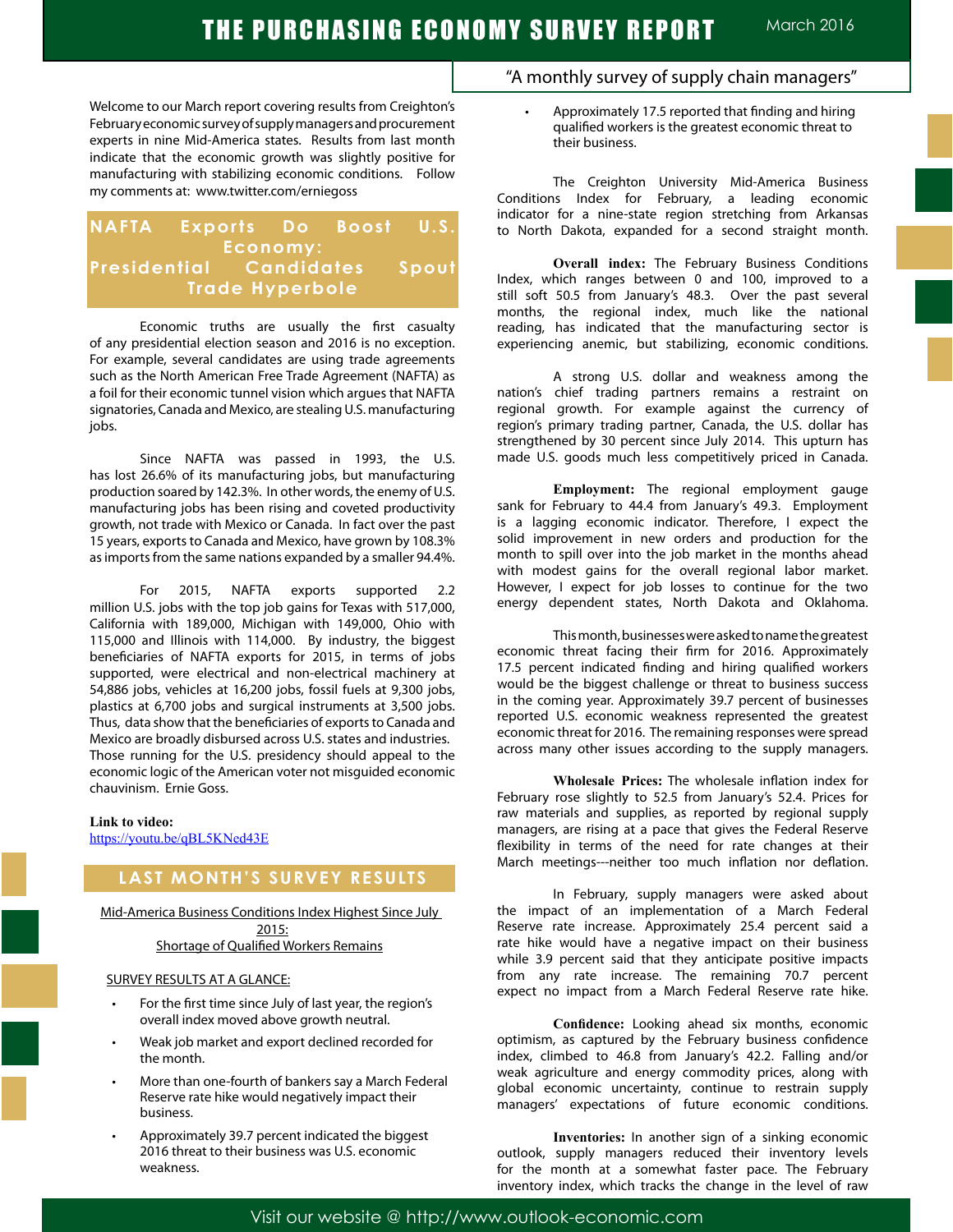Welcome to our March report covering results from Creighton's February economic survey of supply managers and procurement experts in nine Mid-America states. Results from last month indicate that the economic growth was slightly positive for manufacturing with stabilizing economic conditions. Follow my comments at: www.twitter.com/erniegoss

## **NAFTA Exports Do Boost U.S. Economy: Presidential Candidates Spout Trade Hyperbole**

Economic truths are usually the first casualty of any presidential election season and 2016 is no exception. For example, several candidates are using trade agreements such as the North American Free Trade Agreement (NAFTA) as a foil for their economic tunnel vision which argues that NAFTA signatories, Canada and Mexico, are stealing U.S. manufacturing jobs.

Since NAFTA was passed in 1993, the U.S. has lost 26.6% of its manufacturing jobs, but manufacturing production soared by 142.3%. In other words, the enemy of U.S. manufacturing jobs has been rising and coveted productivity growth, not trade with Mexico or Canada. In fact over the past 15 years, exports to Canada and Mexico, have grown by 108.3% as imports from the same nations expanded by a smaller 94.4%.

For 2015, NAFTA exports supported 2.2 million U.S. jobs with the top job gains for Texas with 517,000, California with 189,000, Michigan with 149,000, Ohio with 115,000 and Illinois with 114,000. By industry, the biggest beneficiaries of NAFTA exports for 2015, in terms of jobs supported, were electrical and non-electrical machinery at 54,886 jobs, vehicles at 16,200 jobs, fossil fuels at 9,300 jobs, plastics at 6,700 jobs and surgical instruments at 3,500 jobs. Thus, data show that the beneficiaries of exports to Canada and Mexico are broadly disbursed across U.S. states and industries. Those running for the U.S. presidency should appeal to the economic logic of the American voter not misguided economic chauvinism. Ernie Goss.

#### **Link to video:**

https://youtu.be/qBL5KNed43E

## **LAST MONTH'S SURVEY RESULTS**

Mid-America Business Conditions Index Highest Since July 2015: Shortage of Qualified Workers Remains

#### SURVEY RESULTS AT A GLANCE:

- For the first time since July of last year, the region's overall index moved above growth neutral.
- Weak job market and export declined recorded for the month.
- More than one-fourth of bankers say a March Federal Reserve rate hike would negatively impact their business.
- Approximately 39.7 percent indicated the biggest 2016 threat to their business was U.S. economic weakness.

## "A monthly survey of supply chain managers"

Approximately 17.5 reported that finding and hiring qualified workers is the greatest economic threat to their business.

The Creighton University Mid-America Business Conditions Index for February, a leading economic indicator for a nine-state region stretching from Arkansas to North Dakota, expanded for a second straight month.

**Overall index:** The February Business Conditions Index, which ranges between 0 and 100, improved to a still soft 50.5 from January's 48.3. Over the past several months, the regional index, much like the national reading, has indicated that the manufacturing sector is experiencing anemic, but stabilizing, economic conditions.

A strong U.S. dollar and weakness among the nation's chief trading partners remains a restraint on regional growth. For example against the currency of region's primary trading partner, Canada, the U.S. dollar has strengthened by 30 percent since July 2014. This upturn has made U.S. goods much less competitively priced in Canada.

**Employment:** The regional employment gauge sank for February to 44.4 from January's 49.3. Employment is a lagging economic indicator. Therefore, I expect the solid improvement in new orders and production for the month to spill over into the job market in the months ahead with modest gains for the overall regional labor market. However, I expect for job losses to continue for the two energy dependent states, North Dakota and Oklahoma.

This month, businesses were asked to name the greatest economic threat facing their firm for 2016. Approximately 17.5 percent indicated finding and hiring qualified workers would be the biggest challenge or threat to business success in the coming year. Approximately 39.7 percent of businesses reported U.S. economic weakness represented the greatest economic threat for 2016. The remaining responses were spread across many other issues according to the supply managers.

**Wholesale Prices:** The wholesale inflation index for February rose slightly to 52.5 from January's 52.4. Prices for raw materials and supplies, as reported by regional supply managers, are rising at a pace that gives the Federal Reserve flexibility in terms of the need for rate changes at their March meetings---neither too much inflation nor deflation.

In February, supply managers were asked about the impact of an implementation of a March Federal Reserve rate increase. Approximately 25.4 percent said a rate hike would have a negative impact on their business while 3.9 percent said that they anticipate positive impacts from any rate increase. The remaining 70.7 percent expect no impact from a March Federal Reserve rate hike.

**Confidence:** Looking ahead six months, economic optimism, as captured by the February business confidence index, climbed to 46.8 from January's 42.2. Falling and/or weak agriculture and energy commodity prices, along with global economic uncertainty, continue to restrain supply managers' expectations of future economic conditions.

**Inventories:** In another sign of a sinking economic outlook, supply managers reduced their inventory levels for the month at a somewhat faster pace. The February inventory index, which tracks the change in the level of raw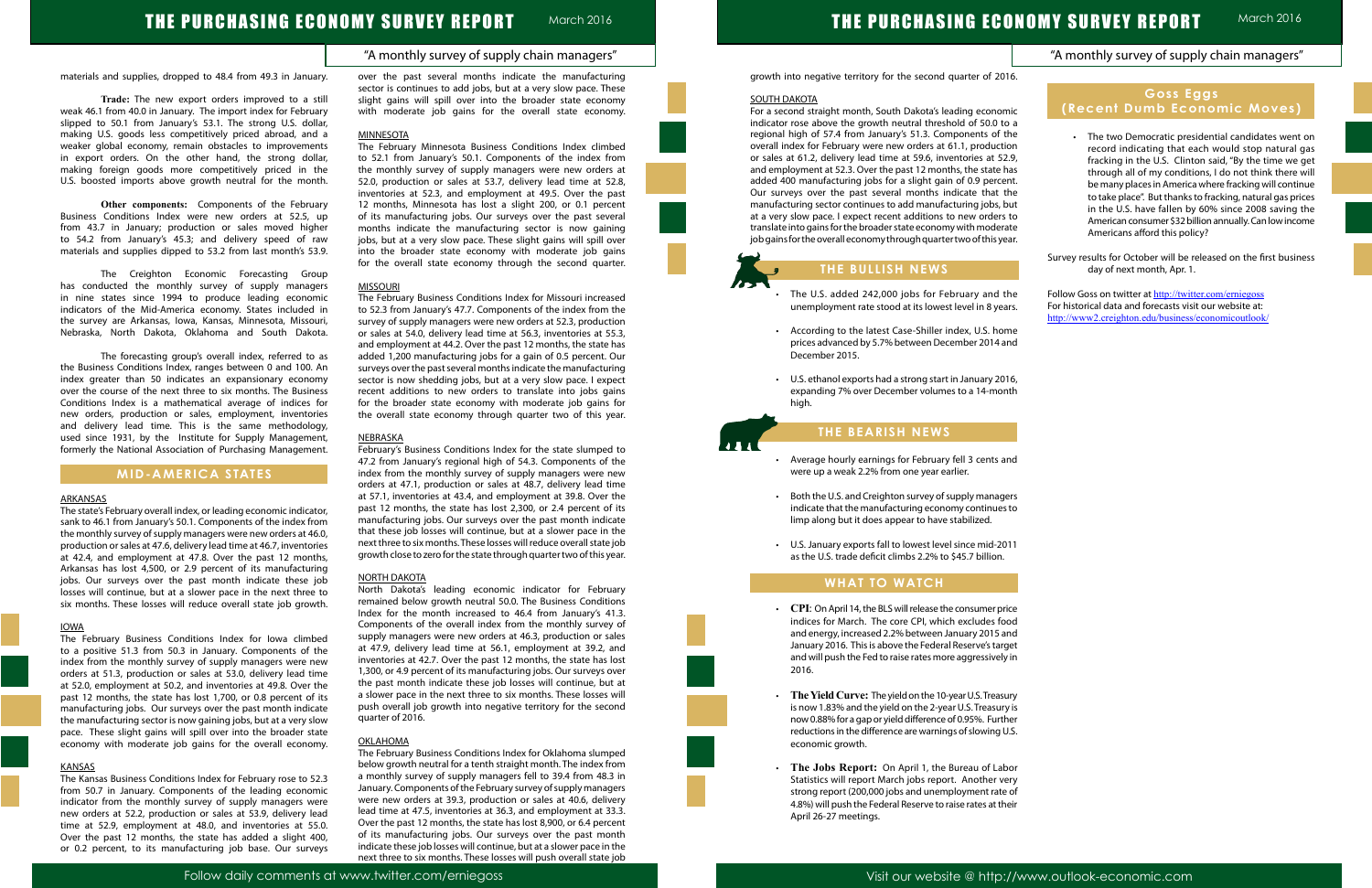# THE PURCHASING ECONOMY SURVEY REPORT March 2016

# THE PURCHASING ECONOMY SURVEY REPORT

|             | "A monthly survey of supply chain managers"                                                                                                                              |
|-------------|--------------------------------------------------------------------------------------------------------------------------------------------------------------------------|
| 16.         |                                                                                                                                                                          |
| nic         | <b>Goss Eggs</b><br>(Recent Dumb Economic Moves)                                                                                                                         |
| o a<br>the  | The two Democratic presidential candidates went on                                                                                                                       |
| ion         | record indicating that each would stop natural gas                                                                                                                       |
| 2.9,<br>าลร | fracking in the U.S. Clinton said, "By the time we get                                                                                                                   |
| :nt.        | through all of my conditions, I do not think there will                                                                                                                  |
| the         | be many places in America where fracking will continue                                                                                                                   |
| วนt         | to take place". But thanks to fracking, natural gas prices<br>in the U.S. have fallen by 60% since 2008 saving the                                                       |
| to          | American consumer \$32 billion annually. Can low income                                                                                                                  |
| ate<br>ear. | Americans afford this policy?                                                                                                                                            |
|             | Survey results for October will be released on the first business<br>day of next month, Apr. 1.                                                                          |
| :he<br>ars. | Follow Goss on twitter at http://twitter.com/erniegoss<br>For historical data and forecasts visit our website at:<br>http://www2.creighton.edu/business/economicoutlook/ |
| me<br>ınd   |                                                                                                                                                                          |
| 16,         |                                                                                                                                                                          |
| าth         |                                                                                                                                                                          |
|             |                                                                                                                                                                          |
| ınd         |                                                                                                                                                                          |
|             |                                                                                                                                                                          |
| ers         |                                                                                                                                                                          |
| s to        |                                                                                                                                                                          |
| 11          |                                                                                                                                                                          |
|             |                                                                                                                                                                          |
| ice         |                                                                                                                                                                          |
| ٥d          |                                                                                                                                                                          |
| ınd         |                                                                                                                                                                          |
| get         |                                                                                                                                                                          |
| / in        |                                                                                                                                                                          |
| ury         |                                                                                                                                                                          |
| y is        |                                                                                                                                                                          |
| her         |                                                                                                                                                                          |
| J.S.        |                                                                                                                                                                          |
| oor         |                                                                                                                                                                          |
| ery         |                                                                                                                                                                          |
| e of        |                                                                                                                                                                          |
| ıeir        |                                                                                                                                                                          |
|             |                                                                                                                                                                          |

#### "A monthly survey of supply chain managers"

March 2016

materials and supplies, dropped to 48.4 from 49.3 in January.

**Trade:** The new export orders improved to a still weak 46.1 from 40.0 in January. The import index for February slipped to 50.1 from January's 53.1. The strong U.S. dollar, making U.S. goods less competitively priced abroad, and a weaker global economy, remain obstacles to improvements in export orders. On the other hand, the strong dollar, making foreign goods more competitively priced in the U.S. boosted imports above growth neutral for the month.

**Other components:** Components of the February Business Conditions Index were new orders at 52.5, up from 43.7 in January; production or sales moved higher to 54.2 from January's 45.3; and delivery speed of raw materials and supplies dipped to 53.2 from last month's 53.9.

The Creighton Economic Forecasting Group has conducted the monthly survey of supply managers in nine states since 1994 to produce leading economic indicators of the Mid-America economy. States included in the survey are Arkansas, Iowa, Kansas, Minnesota, Missouri, Nebraska, North Dakota, Oklahoma and South Dakota.

The forecasting group's overall index, referred to as the Business Conditions Index, ranges between 0 and 100. An index greater than 50 indicates an expansionary economy over the course of the next three to six months. The Business Conditions Index is a mathematical average of indices for new orders, production or sales, employment, inventories and delivery lead time. This is the same methodology, used since 1931, by the Institute for Supply Management, formerly the National Association of Purchasing Management.

### **MID-AMERICA STATES**

#### **ARKANSAS**

The state's February overall index, or leading economic indicator, sank to 46.1 from January's 50.1. Components of the index from the monthly survey of supply managers were new orders at 46.0, production or sales at 47.6, delivery lead time at 46.7, inventories at 42.4, and employment at 47.8. Over the past 12 months, Arkansas has lost 4,500, or 2.9 percent of its manufacturing jobs. Our surveys over the past month indicate these job losses will continue, but at a slower pace in the next three to six months. These losses will reduce overall state job growth.

#### IOWA

The February Business Conditions Index for Iowa climbed to a positive 51.3 from 50.3 in January. Components of the index from the monthly survey of supply managers were new orders at 51.3, production or sales at 53.0, delivery lead time at 52.0, employment at 50.2, and inventories at 49.8. Over the past 12 months, the state has lost 1,700, or 0.8 percent of its manufacturing jobs. Our surveys over the past month indicate the manufacturing sector is now gaining jobs, but at a very slow pace. These slight gains will spill over into the broader state economy with moderate job gains for the overall economy.

#### **KANSAS**

The Kansas Business Conditions Index for February rose to 52.3 from 50.7 in January. Components of the leading economic indicator from the monthly survey of supply managers were new orders at 52.2, production or sales at 53.9, delivery lead time at 52.9, employment at 48.0, and inventories at 55.0. Over the past 12 months, the state has added a slight 400, or 0.2 percent, to its manufacturing job base. Our surveys over the past several months indicate the manufacturing sector is continues to add jobs, but at a very slow pace. These slight gains will spill over into the broader state economy with moderate job gains for the overall state economy.

#### **MINNESOT**

The February Minnesota Business Conditions Index climbed to 52.1 from January's 50.1. Components of the index from the monthly survey of supply managers were new orders at 52.0, production or sales at 53.7, delivery lead time at 52.8, inventories at 52.3, and employment at 49.5. Over the past 12 months, Minnesota has lost a slight 200, or 0.1 percent of its manufacturing jobs. Our surveys over the past several months indicate the manufacturing sector is now gaining jobs, but at a very slow pace. These slight gains will spill over into the broader state economy with moderate job gains for the overall state economy through the second quarter.

- The U.S. added 242,000 jobs for February and t unemployment rate stood at its lowest level in 8 yea
- According to the latest Case-Shiller index, U.S. hor prices advanced by 5.7% between December 2014 a December 2015.
- U.S. ethanol exports had a strong start in January 2016 expanding 7% over December volumes to a 14-mon high.

- Average hourly earnings for February fell 3 cents and were up a weak 2.2% from one year earlier.
- Both the U.S. and Creighton survey of supply manage indicate that the manufacturing economy continues limp along but it does appear to have stabilized.
- • U.S. January exports fall to lowest level since mid-2011 as the U.S. trade deficit climbs 2.2% to \$45.7 billion.

#### MISSOURI

- CPI: On April 14, the BLS will release the consumer pr indices for March. The core CPI, which excludes foe and energy, increased 2.2% between January 2015 and January 2016. This is above the Federal Reserve's target and will push the Fed to raise rates more aggressively 2016.
- **The Yield Curve:** The yield on the 10-year U.S. Treasure is now 1.83% and the yield on the 2-year U.S. Treasury now 0.88% for a gap or yield difference of 0.95%. Furth reductions in the difference are warnings of slowing U economic growth.
- **The Jobs Report:** On April 1, the Bureau of Lab Statistics will report March jobs report. Another ve strong report (200,000 jobs and unemployment rate 4.8%) will push the Federal Reserve to raise rates at the April 26-27 meetings.

The February Business Conditions Index for Missouri increased to 52.3 from January's 47.7. Components of the index from the survey of supply managers were new orders at 52.3, production or sales at 54.0, delivery lead time at 56.3, inventories at 55.3, and employment at 44.2. Over the past 12 months, the state has added 1,200 manufacturing jobs for a gain of 0.5 percent. Our surveys over the past several months indicate the manufacturing sector is now shedding jobs, but at a very slow pace. I expect recent additions to new orders to translate into jobs gains for the broader state economy with moderate job gains for the overall state economy through quarter two of this year.

#### NEBRASKA

February's Business Conditions Index for the state slumped to 47.2 from January's regional high of 54.3. Components of the index from the monthly survey of supply managers were new orders at 47.1, production or sales at 48.7, delivery lead time at 57.1, inventories at 43.4, and employment at 39.8. Over the past 12 months, the state has lost 2,300, or 2.4 percent of its manufacturing jobs. Our surveys over the past month indicate that these job losses will continue, but at a slower pace in the next three to six months. These losses will reduce overall state job growth close to zero for the state through quarter two of this year.

#### NORTH DAKOTA

North Dakota's leading economic indicator for February remained below growth neutral 50.0. The Business Conditions Index for the month increased to 46.4 from January's 41.3. Components of the overall index from the monthly survey of supply managers were new orders at 46.3, production or sales at 47.9, delivery lead time at 56.1, employment at 39.2, and inventories at 42.7. Over the past 12 months, the state has lost 1,300, or 4.9 percent of its manufacturing jobs. Our surveys over the past month indicate these job losses will continue, but at a slower pace in the next three to six months. These losses will push overall job growth into negative territory for the second quarter of 2016.

#### OKLAHOMA

The February Business Conditions Index for Oklahoma slumped below growth neutral for a tenth straight month. The index from a monthly survey of supply managers fell to 39.4 from 48.3 in January. Components of the February survey of supply managers were new orders at 39.3, production or sales at 40.6, delivery lead time at 47.5, inventories at 36.3, and employment at 33.3. Over the past 12 months, the state has lost 8,900, or 6.4 percent of its manufacturing jobs. Our surveys over the past month indicate these job losses will continue, but at a slower pace in the next three to six months. These losses will push overall state job growth into negative territory for the second quarter of 2016.

#### SOUTH DAKOTA

L

Ĩ

For a second straight month, South Dakota's leading econon indicator rose above the growth neutral threshold of 50.0 to regional high of 57.4 from January's 51.3. Components of t overall index for February were new orders at 61.1, production or sales at 61.2, delivery lead time at 59.6, inventories at 52 and employment at 52.3. Over the past 12 months, the state h added 400 manufacturing jobs for a slight gain of 0.9 perce Our surveys over the past several months indicate that the manufacturing sector continues to add manufacturing jobs, b at a very slow pace. I expect recent additions to new orders translate into gains for the broader state economy with moderations job gains for the overall economy through quarter two of this ye

## **THE BULLISH NEWS**

## **THE BEARISH NEWS**

## **WHAT TO WATCH**